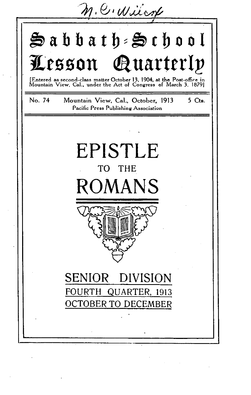$n$ .C. Wilcox

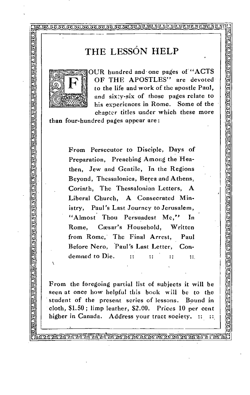# THE LESSON HELP

**ill Mr iTC7 • -KW:7 • • • i • • Or) • IK:NTouvlrorgxiv,,Juvij** L.



e<br>R  $\mathbb{R}^n$  $\mathbb{R}^n$  $\mathbb{R}^n$  $\mathbb{R}^n$  $\mathbb{R}^n$  $\mathbb{R}^n$  $\tilde{\mathbb{R}}$  $\mathbb{R}$  $\mathbb{R}^n$  $\mathbb{R}^n$  $\mathbb{R}$  $\mathbb{R}^n$  $\mathbb{R}$  $\mathbb{R}$ •

•  $\mathbb{R}$ 

 $\overline{\text{max}}$  $\mathbb{R}$  $\mathbb{R}$  $\mathbb{R}$ •  $\mathbb{R}^n$ 

 $\ddot{\phantom{0}}$ 

.

 $\frac{1}{2}$  $\mathbb{R}^n$ •1

•

OUR hundred and one pages of "ACTS<br>OF THE APOSTLES" are devoted to the life and work of the apostle Paul, and sixty-six of those pages relate to his experiences in Rome. Some of the chapter titles under which these more

<u>ଆ</u> ă

ran

ଧା

E<br>|<br>| 9 **MARK** 

I

, I

than four-hundred pages appear are:

 $\begin{bmatrix} \mathbb{R}^d & \mathbb{R}^d \end{bmatrix}$  istry, Paul's Last Journey to Jerusalem,  $\begin{bmatrix} \mathbb{R}^d & \mathbb{R}^d \end{bmatrix}$ Beyond, Thessalonica, Berea and Athens,<br>
Corinth, The Thessalonian Letters, A<br>
Liberal Church, A Consecrated Min-From Persecutor to Disciple, Days of Preparation, Preaching Among the Heathen, Jew and Gentile, In the Regions Beyond, Thessalonica, Berea and Athens, Corinth, The Thessalonian Letters, A Liberal Church, A Consecrated Min-"Almost Thou Persuadest Me." In Rome, Cæsar's Household, Written from Rome, The Final Arrest, Paul Before Nero, Paul's Last Letter, Condemned to Die. :: :: :: ::

From the foregoing partial list of subjects it will be seen at once how helpful this book will be to the student of the present series of lessons. Bound in cloth, \$1.50 ; limp leather, \$2.00. Prices 10 per cent higher in Canada. Address your tract society. :: ::

LIttatrAfatIt-u; ant.fiat4,Ca • •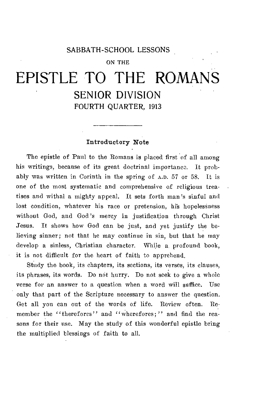#### SABBATH-SCHOOL LESSONS

#### ON THE

# EPISTLE TO THE ROMANS SENIOR DIVISION FOURTH QUARTER, 1913

#### Introductory Note

The epistle of Paul to the Romans is placed first of all among his writings, because of its great doctrinal importance. It probably was written in Corinth in the spring of A.D. 57 or 58. It is one of the most systematic and comprehensive of religious treatises and withal a mighty appeal. It sets forth man's sinful and lost condition, whatever his race or pretension, his hopelessness without God, and God's mercy in justification through Christ Jesus. It shows how God can be just, and yet justify the believing sinner; not that he may continue in sin, but that he may develop a sinless, Christian character. While a profound book, it is not difficult for the heart of faith to apprehend.

Study the book, its chapters, its sections, its verses, its clauses, its phrases, its words. Do not hurry. Do not seek to give a whole verse for an answer to a question when a word will suffice. Use only that part of the Scripture necessary to answer the question. Get all you can out of the words of life. Review often. Remember the "therefores" and "wherefores;" and find the reasons for their use. May the study of this wonderful epistle bring the multiplied blessings of faith to all.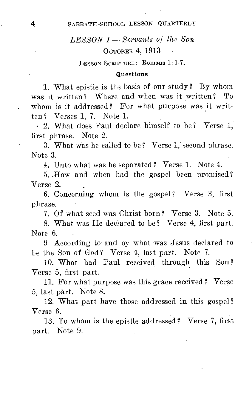# *LESSON I— Servants of the Son*  OCTOBER 4, 1913

LESSON SCRIPTURE: Romans 1:1-7.

#### Questions

1. What epistle is the basis of our study ? By whom was it written ? Where and when was it written ? To whom is it addressed? For what purpose was it written? Verses 1, 7. Note 1.

- 2. What does Paul declare himself to be? Verse 1, first phrase. Note 2.

3. What was he called to be ? Verse 1,' second phrase. Note 3.

4. Unto what was he separated? Verse 1. Note 4.

5. How and when had the gospel been promised? Verse 2.

6. Concerning whom is the gospel? Verse 3, first phrase.

7. Of what seed was Christ born ? Verse 3. Note 5.

8. What was He declared to be ? Verse 4, first part. Note 6.

9 According to and by what 'was Jesus declared to be the Son of God? Verse 4, last part. Note 7.

10. What had Paul received through this Son ? Verse 5, first part.

11. For what purpose was this grace received? Verse 5, last part. Note 8.

12. What part have those addressed in this gospel ? Verse 6.

13. To whom is the epistle addressed ? Verse 7, first part. Note 9.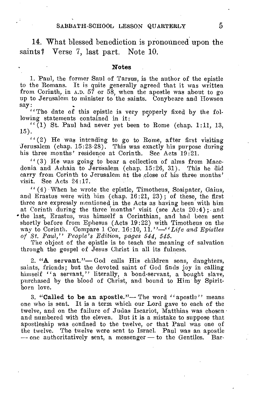14. What blessed benediction is pronounced upon the saints? Verse 7, last part. Note 10.

#### Notes

1. Paul, the former Saul of Tarsus, is the author of the epistle to the Romans. It is quite generally agreed that it was written from Corinth, in A.D. 57 or 58, when the apostle was about to go up to Jerusalem to minister to the saints. Conybeare and Howson say:

 $\cdots$  The date of this epistle is very properly fixed by the following statements contained in it:

 $\lq\lq$  (1) St. Paul had never yet been to Rome (chap. 1:11, 13, 15).

" (2) He was intending to go to Rome, after first visiting Jerusalem (chap. 15:23-28). This was exactly his purpose during his three months' residence at Corinth. See Acts 19:21.

 $''(3)$  He was going to bear a collection of alms from Macedonia and Achaia to Jerusalem (chap. 15:26, 31). This he did carry from Corinth to Jerusalem at the ,close of his three months' visit. See Acts 24:17.

" (4) When he wrote the epistle, Timotheus, Sosipater, Gaius, and Erastus were with him (chap. 16:21, 23) ; of these, the first three are expressly mentioned in the Acts as having been with him at Corinth during the three months' visit (see Acts  $20:4$ ); and • the last, Erastus, was himself a Corinthian, and had been sent shortly before from Ephesus (Acts 19:22) with Timotheus on the way to Corinth. Compare 1 Cor. 16:10, *11."—"Life and Epistles of St. Paul," People's Edition, pages 544, 545.* 

The object of the epistle is to teach the meaning of salvation through the gospel of Jesus Christ in all its fulness.

2. "A servant."— God calls His children sons, daughters, saints, friends; but the devoted saint of God finds joy in calling himself "a servant," literally, a bond-servant, a bought slave, purchased by the blood of Christ, and bound to Him by Spiritborn love.

3. "Called to be an apostle."— The word "apostle" means one who is sent. It is a term which our Lord gave to each of the twelve, and on the failure of Judas Iscariot, Matthias was chosen and numbered with the eleven. But it is a mistake to suppose that apostleship was confined to the twelve, or that Paul was one of the twelve. The twelve were sent to Israel. Paul was an apostle — one authoritatively sent, a messenger — to the Gentiles.  $\hat{B}$ ar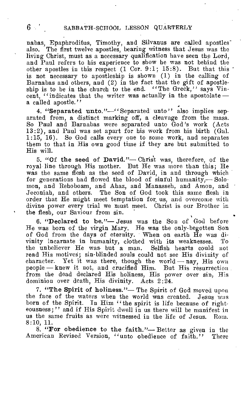nabas, Epaphroditus, Timothy, and Silvanus are called apostles also. The first twelve apostles, bearing witness that Jesus was the living Christ, must as a necessary qualification have seen the Lord, and Paul refers to his experience to show he was not behind the other apostles in this respect (1 Cor. 9:1; 15:8). But that this ' is not necessary to apostleship is shown (1) in the calling of Barnabas and others, and (2) in the fact that the gift of apostleship is to be in the church to the end. "The Greek," says Vincent. "indicates that the writer was actually in the apostolate a called apostle."

4. "Separated unto."—"Separated unto" also implies separated from, a distinct marking off, a cleavage from the mass. So Paul and Barnabas were separated unto God's work (Acts 13:2), and Paul was set apart for his work from his birth (Gal. 1:15, 16). So God calls every one to some work, and separates them to that in His own good time if they are but submitted to His will.

5. "Of the seed of David."— Chris't was, therefore, of the royal line through His mother. But He was more than this; He was the same flesh as the seed of David, in and through which for generations had flowed the blood of sinful humanity,-Solomon, and Rehoboam, and Ahaz, and Manasseh, and Amon, and Jeconiah, and others. The Son of God took this same flesh in order that He might meet temptation for, us, and overcome with divine power every trial we must meet. Christ is our Brother in the flesh, our Saviour from sin.

6. "Declared to be."— Jesus was the Son of God before He was born of the virgin Mary. He was the only-begotten Son of God from the days of eternity. When on earth He was divinity incarnate in humanity, clothed with its weaknesses. the unbeliever He was but a man. Selfish hearts could not read His motives; sin-blinded souls could not see His divinity of character. Yet it was there, though the world  $-$  nay, His own people — knew it not, and crucified Him. But His resurrection from the dead declared His holiness, His power over sin, His dominion over death, His divinity. Acts 2:24.

7. "The Spirit of holiness."— The Spirit of God moved upon the face of the waters when the world was created. Jesus was born of the Spirit. In Him "the spirit is life because of righteousness;" and if His Spirit dwell in us there will be manifest in us the same fruits as were witnessed in the life of Jesus. Rom. 8:10, 11.

8. "For obedience to the faith."- Better as given in the American Revised Version, "unto obedience of faith." There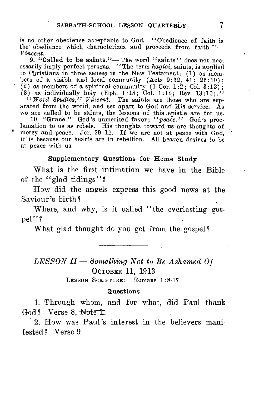is no other obedience acceptable to God. "Obedience of faith is the obedience which characterizes and proceeds from faith."— *Vincent.* 

9. "Called to be saints."— The word "saints" does not necessarily imply perfect persons. "The term *hagioi,* saints, is applied to Christians in three senses in the *New* Testament: (1) as mem-bers of a visible and local community (Acts 9:32, 41; 26:10) ; (2) as members of a spiritual community (1 Cor. 1:2; Col. 3:12); (3) as individually holy (Eph. 1:18; Col. 1:12; Rev. 13:10)." *—" Word Studies," Vincent.* The saints are those who are separated from the world, and set apart to God and His service. As

we are called to be saints, the lessons of this .epistle are for us. 10. "Grace." God's unmerited favor; *"peace."* God's proclamation to us as rebels. His thoughts toward us are thoughts of mercy and peace. Jer. 29:11. If we are not at peace with God, it'is because our hearts are in rebellion. All heaven desires to be at peace with us.

#### Supplementary Questions for Home Study

What is the first intimation we have in the Bible of the "glad tidings"?

How did the angels express this good news at the Saviour 's birth?

Where, and why, is it called "the everlasting gospel"?

What glad thought do you get from the gospel?

*LESSON II — Something Not to Be Ashamed Of*  OCTOBER 11, 1913

LESSON SCRIPTURE: Romans 1:8-17

#### Questions

1. Through whom, and for what, did Paul thank God? Verse 8, Note 1.

2. How was Paul's interest in the believers manifested? Verse 9.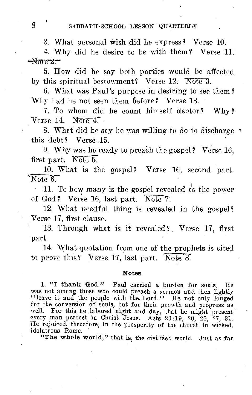3. What personal wish did he express? Verse 10.

4. Why did he desire to be with them? Verse 11.  $-$ Note  $2-$ 

5. How did he say both parties would be affected by this spiritual bestowment? Verse  $12.$  Note 3.

6. What was Paul's purpose in desiring to see them? Why had he not seen them before? Verse 13.

7. To whom did he count himself debtor? Why? Verse 14. Note 4.

8. What did he say he was willing to do to discharge this debt? Verse 15.

9. Why was he ready to preach the gospel? Verse 16, first part. Note 5.

10. What is the gospel? Verse 16, second part.  $\sqrt{\text{Note } 6.}$ 

11. To how many is the gospel revealed as the power of God? Verse 16, last part. Note  $7$ .

12. What needful thing is revealed in the gospel? Verse 17, first clause.

13. Through what is it revealed? Verse 17, first part.

14. What quotation from one of the prophets is cited to prove this? Verse 17, last part. Note 8.

#### Notes

1. "I thank God."— Paul carried a burden for souls. He was not among those who could preach a sermon and then lightly "leave it and the people with the Lord." He not only longed for the conversion of souls, but for their growth and progress as well. For this he labored night and day, that he might present every man perfect in Christ Jesus. Acts 20:19, 20, 26, 27, 31.<br>He rejoiced, therefore, in the prosperity of the church in wicked, idolatrous Rome.

"The whole world," that is, the civilized world. Just as far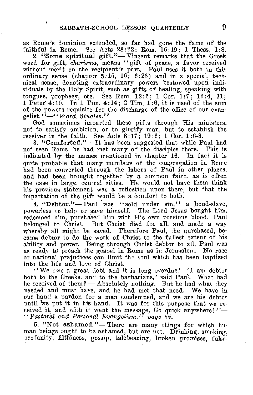$\mathbf{r}$ .

as Rome's dominion extended, so far had gone the fame of the faithful in Rome. See Acts 28:22; Rom. 16:19; 1 Thess. 1:8.

2. "Some spiritual gift."— Vincent remarks that the Greek word for gift, *charisma,* means "gift of grace, a favor received without merit on the recipient's part. Paul uses it both in this ordinary sense (chapter  $5:15$ ,  $16$ ;  $6:23$ ) and in a special, technical sense, denoting extraordinary powers bestowed upon individuals by the Holy Spirit, such as gifts of healing, speaking with tongues, prophecy, etc. See Rom.  $12:6$ ; 1 Cor.  $1:7$ ;  $12:4$ , 31; 1 Peter  $4:10$ . In 1 Tim.  $4:14$ ; 2 Tim.  $1:6$ , it is used of the sum of the powers requisite for the discharge of the office of our evangelist."—"Word *Studies."* 

God sometimes imparted these gifts through His ministers, not to satisfy ambition, or to glorify man. but to establish the receiver in the faith. See Acts 8:17; 19:6; 1 Cor. 1:6-8.

3. "Comforted."— It has been suggested that while Paul had not seen Rome, he had met many of the disciples there. This is indicated by the names mentioned in chapter 16. In fact it is quite probable that many members of the congregation in Rome had been converted through the labors of Paul in other places, and had been brought together by a common faith, as is often the case in large. central cities. He would not have them think his previous statement was a reflection upon them, but that the impartation of the gift would be a comfort to both.

4. "Debtor."-Paul was "sold under sin," a bond-slave, powerless to help or save himself. The Lord Jesus bought him, redeemed him, purchased him with His own precious blood. Paul belonged to Christ. But Christ died for all, and made a way whereby all might be saved. Therefore Paul, the purchased, became debtor to do the work of Christ to the fullest extent of his ability and power. Being through Christ debtor to all, Paul was as ready to preach the gospel in Rome as in Jerusalem. No race or national prejudices can limit the soul which has been baptized into the life and love of Christ.

"We owe a great debt and it is long overdue! 'I am debtor both to the Greeks. and to the barbarians,' said Paul. What had he received of them? — Absolutely nothing. But he had what they needed and must have. and he had met that need. We have in our hand a pardon for a man condemned, and we are his debtor until 'we put it in his hand. It was for this purpose that we received it, and with it went the message, Go quick anywhere!"-*"Pastoral and Personal Evangelism," page 52.* 

5. "Not ashamed."— There are many things for which human beings ought to be ashamed, but are not. Drinking, smoking, profanity, filthiness, gossip, talebearing, broken promises, false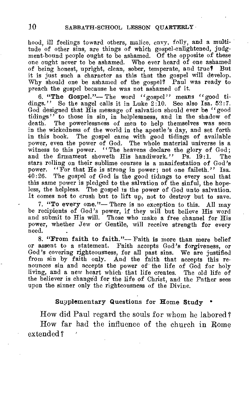hood, ill feelings toward others, malice, envy, folly, and a multitude of other sins, are things of which gospel-enlightened, judgment-bound people ought to be ashamed. Of the opposite of these one ought never to be ashamed. Who ever heard of one ashamed of being honest, upright, clean, sober, temperate, and true? But it is just such a character as this that the gospel will develop. Why should one be ashamed of the gospel? Paul was ready to preach the gospel because he was not ashamed of it.

6. "The Gospel."— The word "gospel" means "good tidings." So the angel calls it in Luke 2:10. See also Isa. 52:7. God designed that  $\tilde{H}$  is message of salvation should ever be "good tidings" to those in sin, in helplessness, and in the shadow of death. The powerlessness of men to help themselves was seen The powerlessness of men to help themselves was seen in the wickedness of the world in the apostle's day, and set forth in this book. The gospel came with good tidings of available power, even the power of God. The whole material universe is a witness to this power. "The heavens declare the glory of God: and the firmament showeth His handiwork." Ps. 19:1. The stars rolling on their sublime courses is a manifestation of God's power. "For that He is strong in power; not one faileth." Isa.<br>40:26. The gospel of God is the good tidings to every soul that The gospel of God is the good tidings to every soul that this same power is pledged to the salvation of the sinful, the hopeless, the helpless. The gospel is the power of God unto salvation. It comes not to crush but to lift up, not to destroy but to save.

7. "To every one."— There is no exception to this. All may be recipients of God's power, if they will but believe His word and submit to His will. Those who make a free channel for His power, whether Jew or Gentile, will receive strength for every need.

8. "From faith to faith."— Faith is more than mere belief or assent to a statement. Faith accepts God's forgiveness, or God's covering righteousness, for all past sins. We are justified from sin by faith only. And the faith that accepts this renounces sin and accepts the power of the life of God for holy living, and a new heart which that life creates. The old life of the believer is changed for the life of Christ, and the Father sees upon the sinner only the righteousness of the Divine.

#### Supplementary Questions for Home Study •

How did Paul regard the souls for whom he labored? How far had the influence of the church in Rome extended 7 '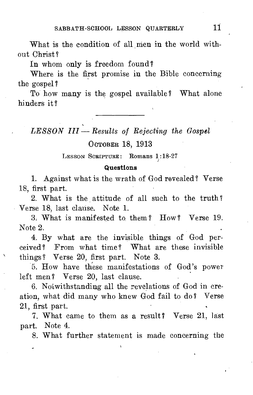What is the condition of all men in the world without Christ?

In whom only is freedom found?

Where is the first promise in the Bible concerning the gospel?

To how many is the gospel available ? What alone hinders it?

*LESSON III — Results of Rejecting the Gospel* 

#### OCTOBER 18, 1913

LESSON SCRIPTURE: Romans 1:18-27

#### Questions

1. Against what is the wrath of God revealed? Verse 18, first part.

2. What is the attitude of all such to the truth? Verse 18, last clause. Note 1.

3. What is manifested to them? How? Verse 19. Note 2.

4. By what are the invisible things of God perceived? From what time ? What are these invisible things? Verse 20, first part. Note 3.

5. How have these manifestations of God's power left men? Verse 20, last clause.

6. Notwithstanding all the revelations of God in creation, what did many who knew God fail to do ? Verse 21, first part.

7. What came to them as a result? Verse 21, last part. Note 4.

8. What further statement is made concerning the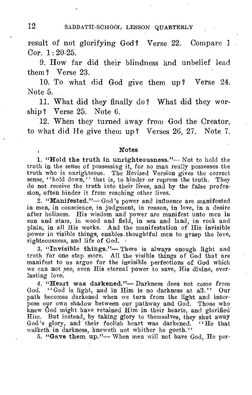result of not glorifying God? Verse 22. Compare 1 Cor. 1: 20-25.

9. How far did their blindness and unbelief lead them ? Verse 23.

10. To what did God give them up ? Verse 24. Note 5.

11. What did they finally do? What did they worship? Verse 25. Note 6.

12. When they turned away from God the Creator, to what did He give them up ? Verses 26, 27. Note 7.

#### Notes

1. "Hold the truth in unrighteousness."— Not to hold the truth in the sense of possessing it, for no man really possesses the truth who is unrighteous. The Revised Version gives the correct sense, "hold down," that is, to hinder or repress the truth. They do not receive the truth into their lives, and by the false profession, often hinder it from reaching other lives.

2. "Manifested."— God's power and influence are manifested in men, in conscience, in judgment, in reason, in love, in a desire after holiness. His wisdom and power are manifest unto men in sun and stars, in wood and field, in sea and land, in rock and plain, in all His works. And the manifestation of His invisible power in visible things, enables thoughtful men to grasp the love, righteousness, and life of God.

3. "Invisible things."— There is always enough light and truth for one step more. All the visible things of God that are manifest to us argue for the invisible perfections of God which we can not see, even His eternal power to save, His divine, everlasting love.

4. "Heart was darkened."— Darkness does not come from God. "God is light, and in Him is no darkness at all." Our path becomes darkened when we turn from the light and interpose our own shadow between our pathway and God. Those who knew God might have retained Him in their hearts, and glorified Him. But instead, by taking glory to themselves, they shut away God's glory, and their foolish heart was darkened. "He that God's glory, and their foolish heart was darkened. walketh in darkness, knoweth not whither he goeth."

5. "Gave them up."— When men will not have God, He per-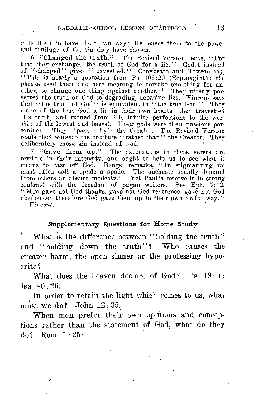mits them to have their own way; He leaves them to the power and fruitage of the sin they have chosen.

6. "Changed the truth."— The Revised Version reads, "For that they exchanged the truth of God for a lie." Godet instead of "changed" gives "travestied." Conybeare and Howson say, "This is nearly a quotation from Ps. 106:20 (Septuagint) ; the phrase used there and here meaning to forsake one thing for another, to change one thing against another." They utterly per-verted the truth of God to degrading, debasing lies. Vincent says that "the truth of God" is equivalent to "the true God." They made of the .true God a lie in their own hearts; they travestied His truth, and turned from His infinite perfections to the worship of the lowest and basest. Their gods were their passions personified. They "passed by" the Creator. The Revised Version reads they worship the creature "rather than" the Creator. They deliberately chose sin instead of God.

7. "Gave them up."— The expressions in these verses are terrible in their intensity, and ought to help us to see what it means to cast off God. Bengel remarks, "In stigmatizing we must often call a spade a spade. The unchaste usually demand from others an absurd modesty." Yet Paul's reserve is in strong contrast with the freedom of pagan writers. See Eph. 5:12. "Men gave not God thanks, gave not God reverence, gave not God obedience; therefore God gave them up to their own awful way."  $-$  *Vincent.* 

#### Supplementary Questions for Home Study

What is the difference between "holding the truth" and "holding down the truth"? Who causes the greater harm, the open sinner or the professing hypocrite?

What does the heaven declare of God? Ps. 19:1; Isa. 40 : 26.

In order to retain the light which comes to us, what must we do? John  $12:35$ .

When men prefer their own opinions and conceptions rather than the statement of God, what do they do? Rom. 1: 25: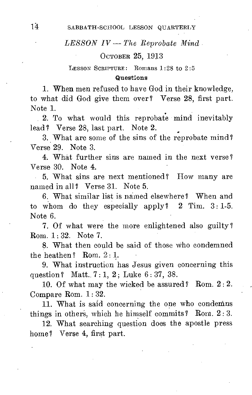#### *LESSON IV — The Reprobate Mind*

#### OCTOBER 25, 1913

#### LESSON SCRIPTURE: Romans 1:28 to 2:5

#### Questions

1. When men refused to have God in their knowledge, to what did God give them over? Verse 28, first part. Note 1.

2. To what would this reprobate mind inevitably lead ? Verse 28, last part. Note 2.

3. What are some of the sins of the reprobate mind? Verse 29. Note 3.

4. What further sins are named in the next verse? Verse 30. Note 4.

 $\mathcal{L}^{\mathcal{L}}$ 5. What sins are next mentioned? How many are named in all? Verse 31. Note 5.

6. What similar list is named elsewhere? When and to whom do they especially apply?  $2$  Tim.  $3:1-5$ . Note 6.

7. Of what were the more enlightened also guilty ? Rom. 1: 32. Note 7.

8. What then could be said of those who condemned the heathen? Rom.  $2:1$ .

9. What instruction has Jesus given concerning this question? Matt. 7: 1, 2; Luke 6: 37, 38.

10. Of what may the wicked be assured? Rom. 2: 2. Compare Rom. 1: 32.

11. What is said concerning the one who condemns things in others, which he himself commits? Rom.  $2:3$ .

12. What searching question does the apostle press home? Verse 4, first part.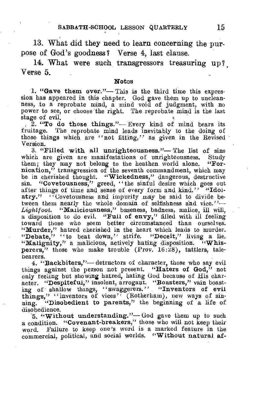13. What did they need to learn concerning the purpose of God's goodness? Verse 4, last clause.

14. What were such transgressors treasuring up? Verse 5.

#### **Notes**

**1. "Gave them over."—** This is the third time this expression has appeared in this chapter. God gave them up to uncleanness, to a reprobate mind, a mind void of judgment, with no power to see, or choose the right. The reprobate mind is the last stage of evil.

, 2. **"To do those things."—** Every kind of mind bears its fruitage. The reprobate mind leads inevitably to the doing of those things which are "not fitting," as given in the Revised Version.

**3. "Filled with all unrighteousness."— The** list of sins which are given are manifestations of unrighteousness. Study them: they may not belong to the heathen world alone. "Forthem; they may not belong to the heathen world alone. **nication,"** transgression of the seventh commandment, which may be in cherished thought. **"Wickedness**,**"** dangerous, destructive "Covetousness," greed, "the sinful desire which goes out after things of time and sense of every form and kind."<sup>7</sup> "Idolatry." "Covetousness and impurity may be said to divide between them nearly the whole domain of selfishness and vice."-*Lightfoot.* **"Maliciousness,"** baseness, badness, malice, ill will, a disposition to do evil. **"Full of envy,"** filled with ill feeling toward those who seem better circumstanced than ourselves. **"Murder,"** hatred cherished in the heart which leads to murder. **"Debate," "to** beat down," strife. **"Deceit," living** a lie. **"Malignity,"** a malicious, actively hating disposition. **"Whis**perers," those who make trouble (Prov. 16:28), tattlers, talebearers.

**4. "Backbiters,"—** detractors of character, those who say evil things against the person not present. **"Haters of God,"** not only feeling but showing hatred, hating God because of His character. **"Despiteful,"** insolent, arrogant. **"Boasters,"** vain boast-ing of shallow things, "swaggerers." **"Inventors of evil**  things," "inventors of vices<sup>"</sup> (Rotherham), new ways of sin-<br>ning. "Disobedient to parents," the beginning of a life of "Disobedient to parents," the beginning of a life of disobedience.

.5. **"Without understanding."—** God gave them up to such a condition. **"Covenant-breakers,"** those who will not keep their word. Failure to keep one's word is a marked feature in the commercial, political, and social worlds. **"Without natural af-**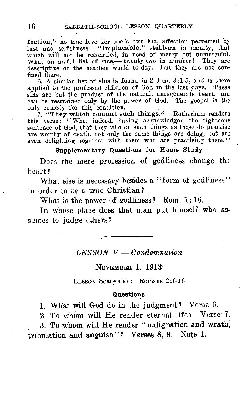fection," no true love for one's own kin, affection perverted by lust and selfishness. "Implacable," stubborn in enmity, that which will not be reconciled, in need of mercy but unmerciful. What an awful list of sins,— twenty-two in number! They are descriptive of the heathen world to-day. But they are not confined there.

6. A similar list of sins is found in 2 Tim. 3:1-5, and is there applied to the professed children of God in the last days. These sins are but the product of the natural, unregenerate heart, and can be restrained only by the power of God. The gospel is the only remedy for this condition.

7. "They which commit such things."— Rotherham renders this verse: "Who, indeed, having acknowledged the righteous sentence of God, that they who do such things as these do practise are worthy of death, not only the same things are doing, but are even delighting together with them who are practising them."

Supplementary Questions for Home Study

Does the mere profession of godliness change the heart?

What else is necessary besides a "form of godliness" in order to be a true Christian?

What is the power of godliness? Rom. 1:16.

In whose place does that man put himself who assumes to judge others?

*LESSON* y- *Condemnation* 

NOVEMBER 1, 1913

LESSON SCRIPTURE: Romans 2:6-16

#### Questions

1. What will God do in the judgment ? Verse 6.

2. To whom will He render eternal life? Verse 7.

3. To whom will He render "indignation and wrath, tribulation and anguish"? Verses 8, 9. Note 1.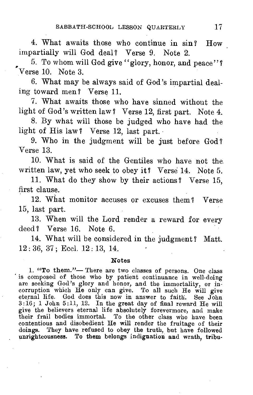4. What awaits those who continue in sin? How impartially will God deal? Verse 9. Note 2.

5. To whom will God give "glory, honor, and peace"? Verse 10. Note 3.

6. What may be always said of God's impartial dealing toward men? Verse 11.

7. What awaits those who have sinned without the light of God's written law? Verse 12, first part. Note 4.

8. By what will those be judged who have had the light of His law? Verse 12, last part.

9. Who in the judgment will be just before God? Verse 13.

10. What is said of the Gentiles who have not the written law, yet who seek to obey it? Verse 14. Note 5.

11. What do they show by their actions? Verse 15, first clause.

12. What monitor accuses or excuses them? Verse 15, last part.

13. When will the Lord render a reward for every deed? Verse 16. Note 6.

14. What will be considered in the judgment? Matt. 12 : 36, 37 ; Eccl. 12 : 13, 14.

#### Notes

1. "To them."— There are two classes of persons. One class is composed of those who by patient continuance in well-doing are seeking God's glory and honor, and the immortality, or incorruption which He only can give. To all such He will give eternal life. God does this now in answer to faith. See John 3:16; 1 John 5:11, 12. In the great day of final reward He will give the believers eternal life absolutely forevermore, and make their frail bodies immortal. To the other class who have been contentious and disobedient He will render the fruitage of their doings. They have refused to obey the truth, but have followed unrighteousness. To them belongs indignation and wrath, tribu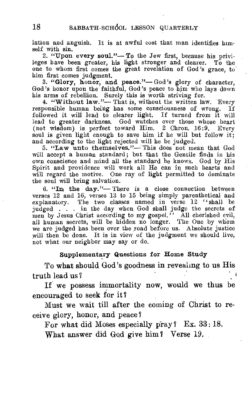lation and anguish. It is at awful cost that man identifies himself with sin.

2. "Upon every **soul."— To** the Jew first, because his privileges have been greater, his light stronger and clearer. To the one to whom first comes the great revelation of God's grace, to' him first comes judgment.

**3. "Glory, honor, and peace."—** God's glory of character, God's honor upon the faithful, God's peace to him who lays down his arms of rebellion. Surely this is worth striving for.

**4. "Without law."—** That is, without the written law. Every responsible human being has some consciousness of wrong. If followed it will lead to clearer light. If turned from it will lead to greater darkness. God watches over those whose heart (not wisdom) is perfect toward Him. 2 Chron. 16:9. Every soul is given light enough to save him if he will but follow it; and according to the light rejected will he be judged.

**5. "Law unto themselves."—'** This does not mean that God will accept a human standard; but that the Gentile finds in his own conscience and mind all the standard he knows. God by His Spirit and providence will work all He can in such hearts and will regard the motive. One ray of light permitted to dominate the soul will bring salvation.

**6. "In the day."—** There is **a** close connection between verses 12 and 16, verses 13 to 15 being simply parenthetical and The two classes named in verse  $12$  "shall be judged . . . in the day when God shall judge the secrets of men by Jesus Christ according to my gospel." All cherished evil, all human secrets, will be hidden no longer. The One by whom we are judged has been over the road before us. Absolute justice will then be done. It is in view of the judgment we should live, not what our neighbor may say or do.

#### **Supplementary Questions for Home Study**

To what should God's goodness in revealing to us His truth lead us?

If we possess immortality now, would we thus be encouraged to seek for it?

Must we wait till after the coming of Christ to receive glory, honor, and peace ?

For what did Moses especially pray? Ex. 33: 18.

What answer did God give him? Verse 19.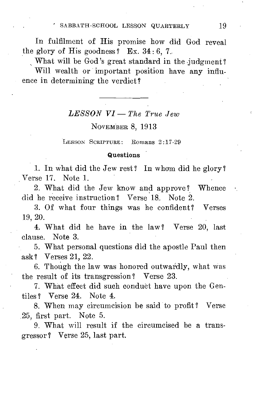In fulfilment of His promise how did God reveal the glory of His goodness? Ex.  $34:6.7$ .

What will be God's great standard in the judgment?

Will wealth or important position have any influence in determining the verdict?

#### *LESSON VI— The True Jew*

NOVEMBER 8, 1913

LESSON SCRIPTURE: Romans 2:17-29

#### Questions

1. In what did the Jew rest? In whom did he glory? Verse 17. Note 1.

2. What did the Jew know and approve? Whence did he receive instruction ? Verse 18. Note 2.

3. Of what four things was he confident? Verses 19, 20.

4. What did he have in the law ? Verse 20, last clause. Note 3.

5. What personal questions did the apostle Paul then ask? Verses 21, 22.

6. Though the law was honored outwardly, what was the result of its transgression? Verse 23.

7. What effect did such conduct have upon the Gentiles ? Verse 24. Note 4.

8. When may circumcision be said to profit? Verse 25, first part. Note 5.

9. What will result if the circumcised be a transgressor? Verse 25, last part.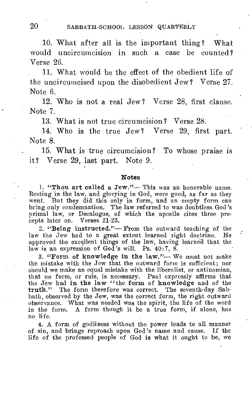20 SABBATH-SCHOOL LESSON QUARTERLY

10. What after all is the important thing? What would uncircumcision in such a case be counted ? Verse 26.

11. What would be the effect of the obedient life of the uncircumcised upon the disobedient Jew? Verse 27. Note 6.

12. Who is not a real Jew? Verse 28, first clause. Note 7.

13. What is not true circumcision ? Verse 28.

14. Who is the true Jew ? Verse 29, first part. Note 8.

15. What is true circumcision? To whose praise is it? Verse 29, last part. Note 9.

#### **Notes**

1. "Thou art called a Jew."— This was an honorable name. Resting in the law, and glorying in God, were good, as far as they went. But they did this only in form, and an empty form can bring only condemnation. The law referred to was doubtless God's primal law, or Decalogue, of which the apostle cites three precepts later on. Verses 21-23.

2. "Being instructed."— From the outward teaching of the the Jew had to a great extent learned right doctrine. He law the Jew had to a great extent learned right doctrine. approved the excellent things of the law, having learned that the law is an expression of God's will. Ps. 40:7, 8.

3. "Form of knowledge in the law."— We must not make the mistake with the Jew that the outward form is sufficient; nor should we make an equal mistake with the liberalist, or antinomian, that no form, or rule, is necessary. Paul expressly affirms that the Jew had in the law "the form of knowledge and of the truth." The form therefore was correct. The seventh-day Sabbath, observed by the Jew, was the correct form, the right outward observance. What was needed was the spirit, the life of the word in the form. A form though it be a true form, if alone, has no life.

4. A form of godliness without the power leads to all manner of sin, and brings reproach upon God's name and cause. If the life of the professed people of God is what it ought to be, we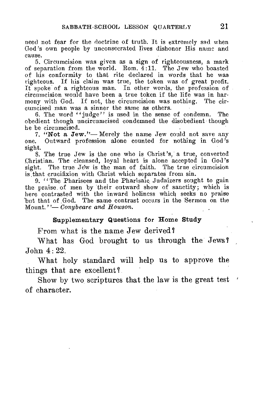need not fear for the doctrine of truth. It is extremely sad when God's own people by unconsecrated lives dishonor His name and cause.

5. Circumcision was given as a sign of righteousness, a mark of separation from the world. Rom. 4:11. The Jew who boasted of his conformity to that rite declared in words that he was righteous. If his claim was true, the token was of great profit. It spoke of a righteous man. In other words, the profession of circumcision would have been a true token if the life was in harmony with God. If not, the circumcision was nothing. The circumcised man was a sinner the same as others.

6. The word "judge" is used in the sense of condemn. The obedient though uncircumcised condemned the disobedient though he be circumcised.

7. "Not a Jew."— Merely the name Jew could not save any one. Outward profession alone counted for nothing in God's sight.

S. The true Jew is the one who is Christ's, a true, converted Christian. The cleansed, loyal heart is alone accepted in God's sight. The true Jew is the man of faith. The true circumcision is.that crucifixion with Christ which separates from sin.

9. "The Pharisees and the Pharisaic Judaizers sought to gain the praise of men by their outward show of sanctity; which is here contrasted with the inward holiness which seeks no praise but that of God. The same contrast occurs in the Sermon on the Mount."— *Conybeare and Howson.* 

#### Supplementary Questions for Home Study

From what is the name Jew derived?

What has God brought to us through the Jews?  $John 4:22.$ 

What holy standard will help us to approve the things that are excellent?

Show by two scriptures that the law is the great test  $\prime$ of character.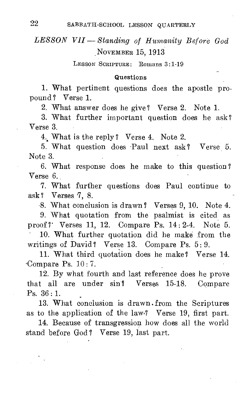# *LESSON VII - Standing of Humanity Before God*  NOVEMBER 15, 1913

LESSON SCRIPTURE: Romans 3:1-19

#### Questions

1. What pertinent questions does the apostle propound? Verse 1.

2. What answer does he give ? Verse 2. Note 1.

3. What further important question does he ask? Verse 3.

4. What is the reply ? Verse 4. Note 2.

5. What question does Paul next ask? Verse 5. Note 3.

6. What response does he make to this question? Verse 6.

7. What further questions does Paul continue to ask? Verses 7, 8.

-8. What conclusion is drawn? Verses 9, 10. Note 4.

9. What quotation from the psalmist is cited as proof ?' Verses 11, 12. Compare Ps. 14 : 2-4. Note 5.

10. What further quotation did he make from the writings of David? Verse 13. Compare Ps. 5:9.

11. What third quotation does he make? Verse 14. Compare Ps. 10: 7.

12. By what fourth and last reference does he prove that all are under sin? Verses 15-18. Compare Ps. 36 : 1.

13. What conclusion is drawn . from the Scriptures as to the application of the law,? Verse 19, first part.

14. Because of transgression how does all the world stand before God? Verse 19, last part.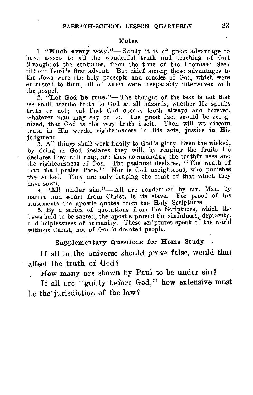#### Notes

1. "Much every way."— Surely it is of great advantage to have access to all the wonderful truth and teaching of God throughout the centuries, from the time of the Promised Seed till- our Lord's first advent. But chief among these advantages to the Jews were the holy precepts and oracles of God, which were entrusted to them, all of which were inseparably interwoven with the gospel.

2.  ${}^{t}$ Let God be true."— The thought of the text is not that we shall ascribe truth to God at all hazards, whether He speaks truth or not; but that God speaks truth always and forever, whatever man may say or do. The great fact should be recognized, that God is the very truth itself. Then will we discern truth in His words, righteousness in His acts, justice in His judgment.

3. All things shall work finally to God's glory. Even the wicked, by doing as God declares they will, by reaping the fruits He declares they will reap, are thus commending the truthfulness and the righteousness of God. The psalmist declares, "The wrath of man shall praise Thee." Nor is God unrighteous, who punishes the wicked. They are only reaping the fruit of that which they have sown.

4. "All under sin."—All are condemned by sin. Man, by nature and apart from Christ, is its slave. For proof of his statements the apostle quotes from the Holy Scriptures.

5. Ey a series of quotations from the Scriptures, which the Jews held to be sacred, the apostle proved the sinfulness, depravity, and helplessness of humanity. These scriptures speak of the world without Christ, not of God's devoted people.

## Supplementary Questions for Home .Study

If all in the universe should prove false, would that affect the truth of God'

. How many are shown by Paul to be under sin?

If all are "guilty before God," how extensive must be the' jurisdiction of the law?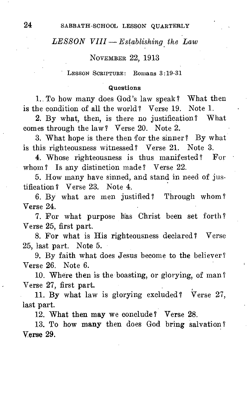## *LESSON VIII — Establishing the Law*

#### NOVEMBER 22, 1913

LESSON SCRIPTURE: Romans 3:19-31

#### Questions

1.. To how many does God's law speak? What then is the condition of all the world? Verse 19. Note 1.

2. By what, then, is there no justification? What comes through the law ? Verse 20. Note 2.

3. What hope is there then for the sinner? By what is this righteousness witnessed ? Verse 21. Note 3.

4. Whose righteousness is thus manifested ? For whom ? Is any distinction made? Verse 22.

5. How many have sinned, and stand in need of justification ? Verse 23. Note 4.

6. By what are men justified ? Through whom ? Verse 24.

7. For what purpose has Christ been set forth ? Verse 25, first part.

8. For what is His righteousness declared ? Verse 25, last part. Note 5.

9. By faith what does Jesus become to the believer? Verse 26. Note 6.

10. Where then is the boasting, or glorying, of man ? Verse 27, first part.

11. By what law is glorying excluded ? Verse 27, last part.

12. What then may we conclude ? Verse 28.

13. To how many then does God bring salvation ? Verse 29.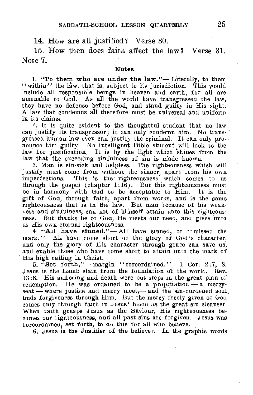#### 14. How are all justified? Verse 30.

15. How then does faith affect the law? Verse 31. Note 7.

#### Notes

1. "To them who are under the law."— Literally, to them "within" the law, that is, subject to its jurisdiction. This would .nclude all responsible beings. in heaven and earth, for all are amenable to God. As all the world have transgressed the law, they have no defense before God, and stand guilty in His sight. A law that condemns all therefore must be universal and uniform in its claims.

2. It is quite evident to the thoughtful student that no law can justify its transgressor; it can only condemn him. No transgressed human law even can justify the criminal. It can only pronounce him guilty. No intelligent Bible student will look to the law for justification. It is by the light which shines from the law that the exceeding sinfulness of sin is made known.

3. Man is sin-sick and helpless. The righteousness which will justify must come from without the sinner, apart from his own imperfections. This is the righteousness which comes to us through the gospel (chapter  $1:16$ ). But this righteousness must be in harmony with God to be acceptable to Him. it is the gift of God, through faith, apart from works, and is the same righteousness that is in the law. But man because of his weakness and sinfulness, can not of himself attain unto this righteousness. But thanks be to God, Ile meets our need, and gives unto us His own eternal righteousness.

4. "All have sinned."— All have sinned, or " missed the mark." All have come short of the glory of God's character. and only the glory of His character through grace can save us, and enable those who have come short to attain unto the mark of His high calling in Christ.

5. "Set forth,"—margin " foreordained."  $1$  Cor. 2:7, 8. Jesus is the Lamb slain from the foundation of the world. Rev. 13:8. His suffering and death were but steps in the great plan of redemption. He was ordained to be a propitiation — a mercyseat — where justice and mercy meet,— and the sin-burdened soul, finds forgiveness through Him. But the mercy freely given of God comes only through faith in Jesus' bioou as the great sin cleanser. When faith grasps Jesus as the Saviour, His righteousness becomes our rignteousness, and all past sins are forgiven. J esus was toreordained, set forth, to do this for all who believe.

6. Jesus is the Justifier of the believer. In the graphic words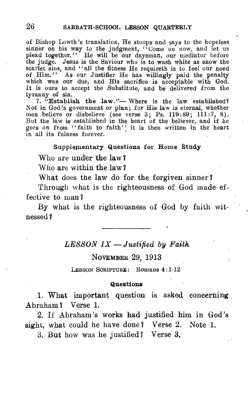of Bishop Lowth's translation, He stoops and says to the hopeless sinner on his way to the judgment, "Come on now, and let us plead together." He will be our daysman, our mediator before the judge. Jesus is the Saviour who is to wash white as snow the scarlet sins, and "all the fitness He requireth is to feel our need of Him." As our Justifier He has willingly paid the penalty which was our due, and His sacrifice is acceptable with God. It is ours to accept the Substitute, and be delivered from the tyranny of sin.

7. "Establish the law."— Where is the law established? Not in God's government or plan; for His law is eternal, whether men believe or disbelieve (see verse 3; Ps. 119:89;  $111:7, 8$ ). But the law is established in the heart of the believer, and if he goes on from "faith to faith" it is then written in the heart in all its fulness forever.

#### Supplementary Questions for Home Study

Who are under the law?

Who are within the law?

What does the law do for the forgiven sinner?

Through what is the righteousness of God made effective to man?

By what is the righteousness of God by faith witnessed?

## *LESSON IX —Justified by Faith*

#### NOVEMBER 29, 1913

LESSON SCRIPTURE: Romans 4:1-12

#### **Questions**

1. What important question is asked concerning Abraham? Verse 1.

2. If Abraham's works had justified him in God's sight, what could he have done? Verse 2. Note 1.

3. But how was he justified? Verse 3,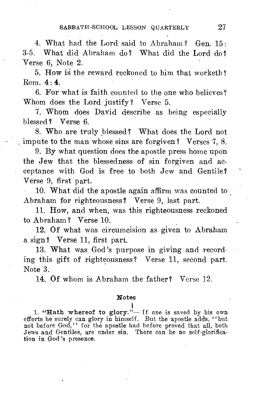4. What had the Lord said to Abraham? Gen.  $15 \cdot$ 3-5. What did Abraham do? What did the Lord do? Verse 6, Note 2.

5. How is the reward reckoned to him that worketh?  $Rom \cdot 4 \cdot 4$ 

6. For what is faith counted to the one who believes? Whom does the Lord justify? Verse 5.

7. Whom does David describe as being especially blessed? Verse 6.

8. Who are truly blessed? What does the Lord not impute to the man whose sins are forgiven? Verses 7, 8.

9. By what question does the apostle press home upon the Jew that the blessedness of sin forgiven and acceptance with God is free to both Jew and Gentile ? Verse 9, first part.

10. What did the apostle again affirm was counted to Abraham for righteousness ? Verse 9, last part.

11. How, and when, was this righteousness reckoned to Abraham? Verse 10.

12. Of what was circumcision as given to Abraham a sign? Verse 11, first part.

13. What was God's purpose in giving and recording this gift of righteousness ? Verse 11, second part. Note 3.

14. Of whom is Abraham the father? Verse 12.

#### Notes

1. "Hath whereof to glory."— If one is saved by his own efforts he surely can glory in himself. But the apostle adds, "but not before God," for the apostle had before proved that all, both Jews and Gentiles, are under sin. There can be no self-glorification in God's presence.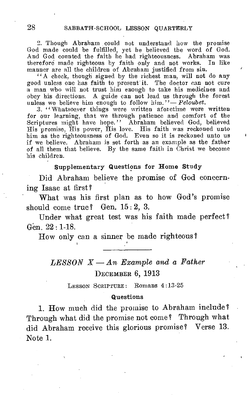2. Though Abraham could not understand how the promise God made could be fulfilled, yet he believed the word of God. And God counted the faith he had righteousness. Abraham was therefore made righteous by faith only and not works. In like manner are all the children of Abraham justified from sin.

"A check, though signed by the richest man, will not do any good unless one has faith to present it. The doctor can not cure a man who will not trust him enough to take his medicines and obey his directions. A guide can not lead us through the forest unless we believe him enough to follow him."- Peloubet.

.3. "Whatsoever things were written aforetime were written for our learning, that we through patience and comfort of the Scriptures might have hope." Abraham believed God, believed His promise, His power, His love. His faith was reckoned unto him as the righteousness of God. Even so it is reckoned unto us if we believe. Abraham is set forth as an example as the father of all them that believe. By the same faith in Christ we become his children.

#### Supplementary Questions for Home Study

Did Abraham believe the promise of God concerning Isaac at first ?

What was his first plan as to how God's promise should come true? Gen. 15:2, 3.

Under what great test was his faith made perfect? Gen. 22 : 1-18.

How only can a sinner be made righteous?

# *LESSON X — An Example and a Father*  DECEMBER 6, 1913

LESSON SCRIPTURE: Romans 4:13-25

#### Questions

1. How much did the promise to Abraham include? Through what did the promise not come ? Through what did Abraham receive this glorious promise? Verse 13. Note 1.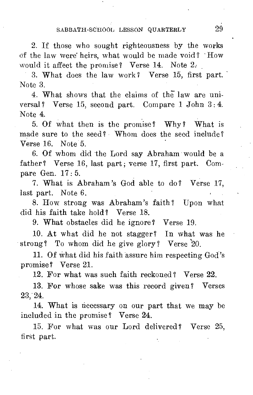2. If those who sought righteousness by the works of the law were' heirs, what would be made void ? How would it affect the promise? Verse  $14$ . Note  $2$ .

3. What does the law work? Verse 15, first part. Note 3.

4. What shows that the claims of the law are universal? Verse 15, second part. Compare 1 John 3: 4. Note 4.

5. Of what then is the promise? Why ? What is made sure to the seed? Whom does the seed include? Verse 16. Note 5.

6. Of whom did the Lord say Abraham would be a father? Verse 16, last part; verse 17, first part. Compare Gen. 17 : 5.

7. What is Abraham's God able to do ? Verse 17, last part. Note 6.

8. How strong was Abraham's faith ? Upon what did his faith take hold? Verse 18.

9. What obstacles did he ignore? Verse 19.

10. At what did he not stagger? In what was he strong? To whom did he give glory? Verse '20.

11. Of what did his faith assure him respecting God's promise? Verse 21.

12. For what was such faith reckoned ? Verse 22.

13. For whose sake was this record given? Verses 23,24.

14. What is necessary on our part that we may be included in the promise ? Verse 24.

15. For what was our Lord delivered ? Verse 25, first part.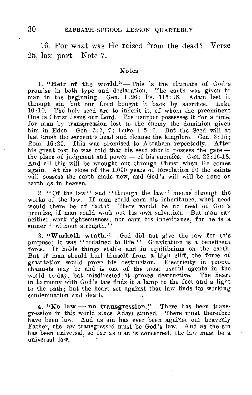16. For what was He raised from the dead? Verse 25, last part. Note 7..

#### **Notes**

1. "Heir of the world."— This is the ultimate of God's promise in both type and declaration. The earth was given to man in the beginning. Gen. 1:26; Ps. 115:16. Adam lost it through sin, but our Lord bought it back by sacrifice. Luke 19:10. The holy seed are to inherit it, of whom the preeminent One is Christ Jesus our Lord. The usurper possesses it for a time, for man by transgression lost to the enemy the dominion given him in Eden. Gen. 3:6, 7; Luke 4:5, 6. But the Seed will at last crush the serpent's head and cleanse the kingdom. Gen. 3:15; Rom. 16:20. This was promised to Abraham repeatedly. After his great test he was told that his seed should possess the gate  $$ the place of judgment and power — of his enemies. Gen. 22:16-18. And all this will be wrought out through Christ when He comes again. At the close of the 1,000 years of Revelation 20 the saints will possess the earth made new, and God's will will be done on earth as in heaven.

2. "Of the law" and "through the law" means through the works of the law. If man could earn his inheritance, what need would there be of faith? There would be no need of God's promise, if man could work out his own salvation. But man can neither work righteousness, nor earn his inheritance, for he is a sinner "without strength."

3. "Worketh wrath."— God did not give the law for this purpose; it was "ordained to life." Gravitation is a beneficent force. It holds things stable and in equilibrium on the earth. But if man should hurl himself from a high cliff, the force of gravitation would prove his destruction. Electricity in proper channels may be and is one of the most useful agents in the world to-day, but misdirected it proves destructive. The heart in harmony with God's law finds it a lamp to the feet and a light to the path; but the heart set against that law finds its working condemnation and death.

4. "No law — no transgression."— There has been transgression in this world since Adam sinned. There must therefore have been law. And as sin has ever been against our heavenly Father, the law transgressed must be. God's law. And as the sin has been universal, so far as man is concerned, the law must be a universal law.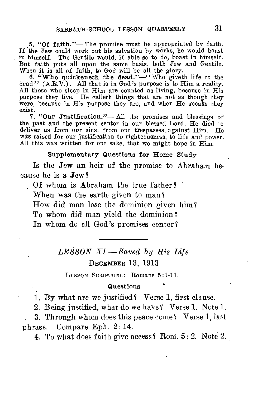5. "Of faith."— The promise must be appropriated by faith. If the Jew could work out his salvation by works, he would boast in himself. The Gentile would, if able so to do, boast in himself. But faith puts all upon the same basis, both Jew and Gentile. When it is all of faith, to God will be all the glory.

6. "Who quickeneth the dead." $-$ "Who giveth life to the dead"  $(A.R.V.)$ . All that is in God's purpose is to Him a reality. All those who sleep in Him are counted as living, because in His purpose they live. He calleth things that are not as though they were, because in His purpose they are, and when He speaks they exist.

7. "Our Justification."— All the promises and blessings of the past and the present center in our blessed Lord. He died to deliver us from our sins, from our trespasses .against Him. He was raised for our justification to righteousness, to life and power. All this was written for our sake, that we might hope in  $H_{\text{Im}}$ .

#### Supplementary Questions for Home Study

Is the Jew an heir of the promise to Abraham because he is a Jew?

Of whom is Abraham the true father? When was the earth given to man? How did man lose the dominion given him? To whom did man yield the dominion? In whom do all God's promises center ?

> *LESSON XI—Saved by His Life*  DECEMBER 13, 1913

LESSON SCRIPTURE: Romans 5:1-11.

#### Questions

1. By what are we justified? Verse 1, first clause.

2. Being justified, what do we have? Verse 1. Note 1.

3. Through whom does this peace come ? Verse 1, last phrase. Compare Eph. 2:14.

4. To what does faith give access ? Rom. 5 : 2. Note 2.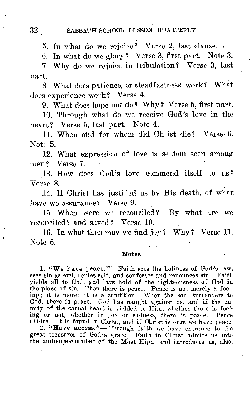#### 32 SABBATH-SCHOOL LESSON QUARTERLY

5. In what do we rejoice? Verse 2, last clause.

6. In what do we glory? Verse 3, first part. Note 3.

7. Why do we rejoice in tribulation? Verse 3, last part.

8. What does patience, or steadfastness, work? What does experience work? Verse 4.

9. What does hope not do? Why?' Verse 5, first part.

10. Through what do we receive God's love in the heart? Verse 5, last part. Note 4.

11. When and for whom did Christ die? Verse• 6. Note 5.

12. What expression of love is seldom seen among men? Verse 7.

13. How does God's love commend itself to us? Verse 8.

14. If Christ has justified us by His death, of what have we assurance? Verse 9.

15. When were we reconciled? By what are we reconciled? and saved? Verse 10.

16. In what then may we find joy? Why? Verse 11. Note 6.

#### Notes

1. "We have peace."— Faith sees the holiness of God's law, sees sin as evil, denies self, and confesses and renounces sin. Faith yields all to God, and lays hold of the righteousness of God in the place of sin. Then there is peace. Peace is not merely a feel-ing; it is more; it is a condition. When the soul surrenders to God, there is peace. God has naught against us, and if the enmity of the carnal heart is yielded to Him, whether there is feel-

ing or not, whether in joy or sadness, there is peace. Peace abides. It is found in Christ, and if Christ is ours we have peace. 2. "Have access."— Through faith we have entrance to the great treasures of God's grace. Fait the audience-chamber of the Most High, and introduces us, also,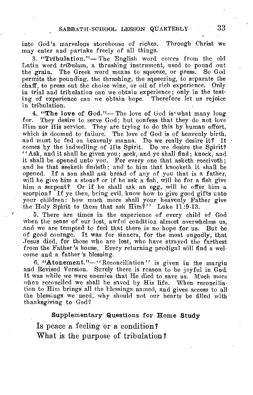into God's marvelous storehouse of riches. Through Christ we may enter and partake freely of all things.

3. "Tribulation."— The English word comes from the old Latin word *tribulum,* a thrashing instrument, used to pound out the grain. The Greek word means to squeeze, or press. So God permits the pounding, the thrashing, the squeezing, to ssparate the chaff, to press out the choice wine, or oil of rich experience. Only in trial and tribulation can we obtain experience; only in the testing of experience can we obtain hope. Therefore let us rejoice in tribulation.

4. "The love of God."— The love of God is what many long for. They desire to serve God; but confess that they do not love They desire to serve God; but confess that they do not love Him nor His service. They are trying to do this by human effort, which is doomed to failure. The love of God is of heavenly birth, and must be fed on heavenly manna. Do we really desire it? It  $\cdot$ comes by the indwelling of His Spirit. Do we desire the Spirit? "Ask, and it shall be given you; seek, and ye shall find; knock, and it shall be opened unto you. For every one that asketh receiveth; and he that seeketh findeth; and to him that knocketh it shall be opened. If a son shall ask bread of any of you that is a father, will he give him a stone? or if he ask a fish, will he for a fish give him a serpent? Or if he shall ask an egg, will he offer him a scorpion? If ye then, being evil, know how to give good gifts unto your children: how much more shall your heavenly Father give the Holy Spirit to them that ask Him'?" Luke 11:9-13.

5. There are times in the experience of every child of God when the sense of our lost, awful condition almost overwhelms us, and we are tempted to feel that there is no hope for us. But be of good courage. It was for sinners, for the most ungodly, that :fesus died, for those who are lost, who have strayed the farthest from the Father's house. Every returning prodigal will find a welcome and a father's blessing.

6. "Atonement."—"Reconciliation" is given in the margin and Revised Version. Surely there is reason to be joyful in God. It was while we were enemies that He died to save us. Much more when reconciled we shall be saved by His life. When reconciliation to Him brings all the blessings named, and gives access to all the blessings we need, why should not our hearts be filled with thanksgiving to God"?

#### Supplementary Questions for Home Study

Is peace a feeling or a condition? What is the purpose of tribulation?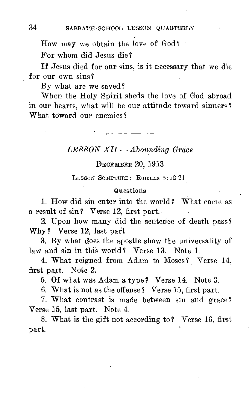How may we obtain the love of God?

For whom did Jesus die ?

If Jesus died for our sins, is it necessary that we die for our own sins?

By what are we saved ?

When the Holy Spirit sheds the love of God abroad in our hearts, what will be our attitude toward sinners? What toward our enemies?

## *LESSON XII — Abounding Grace*

#### DECEMBER 20, 1913

LESSON SCRIPTURE: Romans 5:19-21

#### Questions

1. How did sin enter into the world? What came as a result of sin? Verse 12, first part.

2. Upon how many did the sentence of death pass? Why? Verse 12, last part.

3. By what does the apostle show the universality of law and sin in this world? Verse 13. Note 1.

4. What reigned from Adam to Moses? Verse 14, first part. Note 2.

5. Of what was Adam a type? Verse 14. Note 3.

6. What is not as the offense? Verse 15, first part.

7. What contrast is made between sin and grace? Verse 15, last part. Note 4.

8. What is the gift not according to? Verse 16, first part.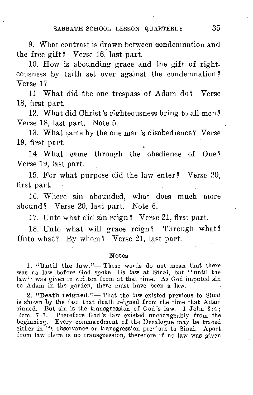SABBATH-SCHOOL LESSON QUARTERLY 35

9. What contrast is drawn between condemnation and the free gift? Verse 16, last part.

10. How is abounding grace and the gift of righteousness by faith set over against the condemnation? Verse 17.

11. What did the one trespass of Adam do ? Verse 18, first part.

12. What did Christ's righteousness bring to all men ? Verse 18, last part. Note 5.

13. What came by the one man's disobedience? Verse 19, first part.

14. What came through the obedience of One ? Verse 19, last part.

15. For what purpose did the law enter? Verse 20, first part.

16. Where sin abounded, what does much more abound? Verse 20, last part. Note 6.

17. Unto what did sin reign? Verse 21, first part.

18. Unto what will grace reign? Through what? Unto what? By whom? Verse 21, last part.

#### Notes

1. "Until the law."— These words do not mean that there was no law before God spoke His law at Sinai, but "until the law" was given in written form at that time. As God imputed sin to Adam in the garden, there must have been a law.

2. "Death reigned."— That the law existed previous to Sinai is shown by the fact that death reigned from the time that Adam sinned. But sin is the transgression of God's law. 1 John 3:4; Born. 7:7. Therefore God's law existed unchangeably from the beginning. Every commandment of the Decalogue may be traced either in its observance or transgression previous to Sinai. Apart from law there is no transgression, therefore if no law was given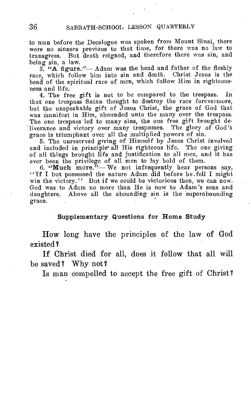to man before the Decalogue was spoken from Mount Sinai, there were no sinners previous to that time, for there was no law to transgress. But death reigned, and therefore there was sin, and being sin, a law.

3. "A figure."— Adam was the head and father of the fleshly race, which follow him into sin and death. Christ Jesus is the head of the spiritual race of men, which follow Him in righteousness and life.

4. The free gift is not to be compared to the trespass. In that one trespass Satan thought to destroy the race forevermore, but the unspeakable gift of Jesus Christ, the grace of God that was manifest in Him, abounded unto the many over the trespass. The one trespass led to many sins, the one free gift brought deliverance and victory over many trespasses. The glory of God's grace is triumphant over all the multiplied powers of sin.

5. The unreserved giving of Himself by Jesus Christ involved and included in principle• all His righteous life. The one giving of all things brought life and justification to all men, and it has ever been the privilege of all men to lay hold of them.

6. "Much more."— We not infrequently hear persons say, "If I but possessed the nature Adam did before he.fell I might win the victory." But if we could be victorious then, we can now. God was to Adam no more than He is now to Adam's sons and daughters. Above all the abounding sin is the 'superabounding grace.

#### Supplementary Questions for Home Study

How long have the principles of the law of God existed?

If Christ died for all, does it follow that all will be saved? Why not?

Is man compelled to accept the free gift of Christ?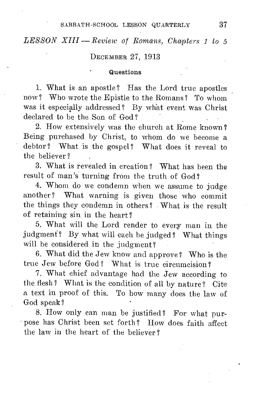*LESSON XIII — Review of Romans, Chapters 1 to 5* 

#### DECEMBER 27, 1913

#### Questions

1. What is an apostle? Has the Lord true apostles now? Who wrote the Epistle to the Romans? To whom was it especially addressed? By what event was Christ declared to be the Son of God?

2. How extensively was the church at Rome known? Being purchased by Christ, to whom do we become a debtor? What is the gospel? What does it reveal to the believer?

3. What is revealed in creation? What has been the result of man's turning from the truth of God?

4. Whom do we condemn when we assume to judge another? What warning is given those who commit the things they condemn in others? What is the result of retaining sin in the heart?

5. What will the Lord render to every man in the judgment? By what will each be judged? What things will be considered in the judgment?

6. What did the Jew know and approve? Who is the true Jew before God? What is true circumcision?

7. What chief advantage had the Jew according to the flesh? What is the condition of all by nature? Cite a text in proof of this. To how many does the law of God speak?

8. How only can man be justified? For what purpose has Christ been set forth? How does faith affect the law in the heart of the believer ?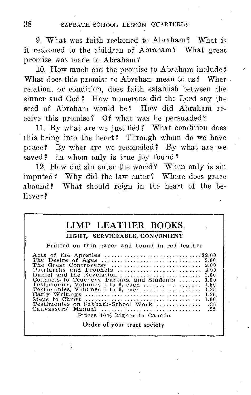9. What was faith reckoned to Abraham? What is it reckoned to the children of Abraham? What great promise was made to Abraham?

10. How much did the promise to Abraham include? What does this promise to Abraham mean to us? What relation, or condition, does faith establish between the sinner and God? How numerous did the Lord say the seed of Abraham would be? How did Abraham receive this promise? Of what was he persuaded?

11. By what are we justified? What condition does this bring into the heart? Through whom do we have peace? By what are we reconciled? By what are we saved? In whom only is true joy found?

12. How did sin enter the world? When only is sin imputed? Why did the law enter? Where does grace abound? What should reign in the heart of the believer ?

# LIMP LEATHER BOOKS.

#### LIGHT, SERVICEABLE, CONVENIENT

Printed on thin paper and bound in red leather

| Acts of the Apostles \$2.00<br>Counsels to Teachers, Parents, and Students  1.50<br>Testimonies. Volumes 1 to 6, each  1.50<br>Testimonies, Volumes 7 to 9, each  1.25<br>Testimonies on Sabbath-School Work  .35 |  |
|-------------------------------------------------------------------------------------------------------------------------------------------------------------------------------------------------------------------|--|
| Prices 10% higher in Canada                                                                                                                                                                                       |  |

Order of your tract society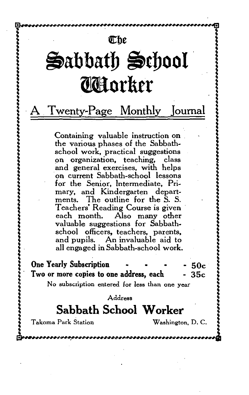# ebe

# $\triangle$ abbath  $\triangle$ chool (1 **order**

# A Twenty-Page Monthly Journal

Containing valuable instruction on the various phases of the Sabbathschool work, practical suggestions on organization, teaching, class and general exercises, with helps on current Sabbath-school lessons for the Senior, Intermediate, Primary, and Kindergarten departments. The outline for the S. S. Teachers' Reading Course is given each month. Also many other valuable suggestions for Sabbathschool officers, teachers, parents, and pupils. An invaluable aid to all engaged in Sabbath-school work.

**One Yearly Subscription - - - - - 50c**<br>Two or more copies to one address, each - 35c Two or more copies to one address, each

No subscription entered for less than one year

Address

# **Sabbath School Worker**

Takoma Park Station Washington, D. C.